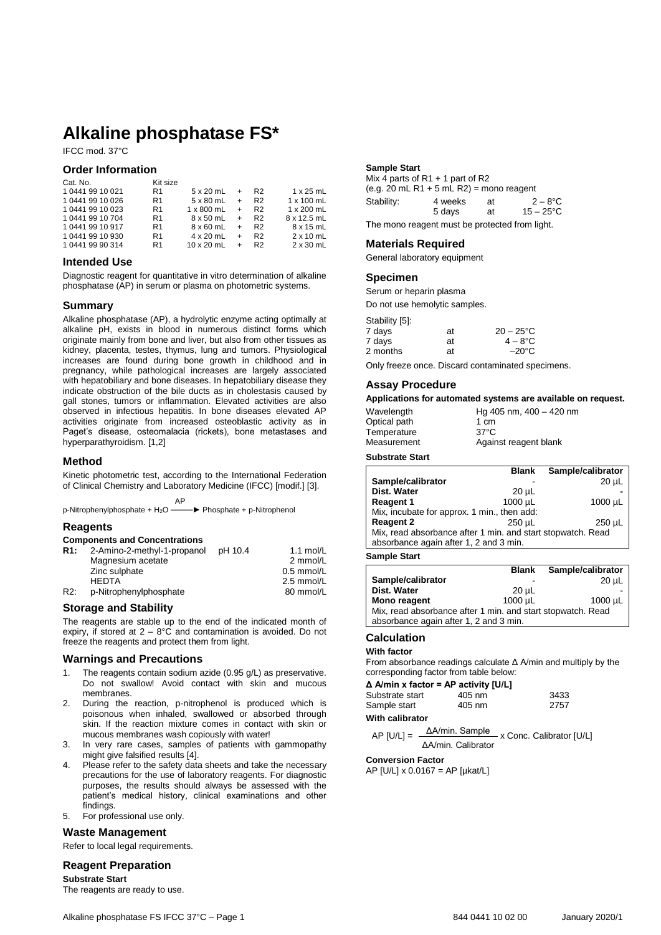# **Alkaline phosphatase FS\***

IFCC mod. 37°C

#### **Order Information**

| Cat. No.         | Kit size       |                   |     |                |                   |
|------------------|----------------|-------------------|-----|----------------|-------------------|
| 1 0441 99 10 021 | R <sub>1</sub> | 5 x 20 mL         | $+$ | R <sub>2</sub> | $1 \times 25$ mL  |
| 1 0441 99 10 026 | R1             | 5 x 80 mL         | $+$ | R <sub>2</sub> | $1 \times 100$ mL |
| 1 0441 99 10 023 | R <sub>1</sub> | 1 x 800 mL        | $+$ | R <sub>2</sub> | 1 x 200 mL        |
| 1 0441 99 10 704 | R1             | 8 x 50 mL         | $+$ | R <sub>2</sub> | 8 x 12.5 mL       |
| 1 0441 99 10 917 | R <sub>1</sub> | $8 \times 60$ mL  | $+$ | R <sub>2</sub> | 8 x 15 mL         |
| 1 0441 99 10 930 | R1             | 4 x 20 mL         | $+$ | R <sub>2</sub> | $2 \times 10$ mL  |
| 104419990314     | R <sub>1</sub> | $10 \times 20$ mL |     | R <sub>2</sub> | $2 \times 30$ mL  |

#### **Intended Use**

Diagnostic reagent for quantitative in vitro determination of alkaline phosphatase (AP) in serum or plasma on photometric systems.

#### **Summary**

Alkaline phosphatase (AP), a hydrolytic enzyme acting optimally at alkaline pH, exists in blood in numerous distinct forms which originate mainly from bone and liver, but also from other tissues as kidney, placenta, testes, thymus, lung and tumors. Physiological increases are found during bone growth in childhood and in pregnancy, while pathological increases are largely associated with hepatobiliary and bone diseases. In hepatobiliary disease they indicate obstruction of the bile ducts as in cholestasis caused by gall stones, tumors or inflammation. Elevated activities are also observed in infectious hepatitis. In bone diseases elevated AP activities originate from increased osteoblastic activity as in Paget's disease, osteomalacia (rickets), bone metastases and hyperparathyroidism. [1,2]

### **Method**

Kinetic photometric test, according to the International Federation of Clinical Chemistry and Laboratory Medicine (IFCC) [modif.] [3].

**AP** AP p-Nitrophenylphosphate + H<sub>2</sub>O ——→ Phosphate + p-Nitrophenol

#### **Reagents**

|  |  | <b>Components and Concentrations</b> |
|--|--|--------------------------------------|
|--|--|--------------------------------------|

| R <sub>1:</sub> | 2-Amino-2-methyl-1-propanol | pH 10.4 | 1.1 mol/L    |
|-----------------|-----------------------------|---------|--------------|
|                 | Magnesium acetate           |         | 2 mmol/L     |
|                 | Zinc sulphate               |         | $0.5$ mmol/L |
|                 | <b>HFDTA</b>                |         | 2.5 mmol/L   |
| R2:             | p-Nitrophenylphosphate      |         | 80 mmol/L    |

#### **Storage and Stability**

The reagents are stable up to the end of the indicated month of expiry, if stored at  $2 - 8$ °C and contamination is avoided. Do not freeze the reagents and protect them from light.

#### **Warnings and Precautions**

- 1. The reagents contain sodium azide (0.95 g/L) as preservative. Do not swallow! Avoid contact with skin and mucous membranes.
- 2. During the reaction, p-nitrophenol is produced which is poisonous when inhaled, swallowed or absorbed through skin. If the reaction mixture comes in contact with skin or mucous membranes wash copiously with water!
- 3. In very rare cases, samples of patients with gammopathy might give falsified results [4].
- 4. Please refer to the safety data sheets and take the necessary precautions for the use of laboratory reagents. For diagnostic purposes, the results should always be assessed with the patient's medical history, clinical examinations and other findings.
- 5. For professional use only.

#### **Waste Management**

Refer to local legal requirements.

### **Reagent Preparation**

**Substrate Start** The reagents are ready to use.

| <b>C</b> nooiman             |
|------------------------------|
| General laboratory equipment |
|                              |

**Sample Start**

#### **Specimen**

Serum or heparin plasma

**Materials Required**

Mix 4 parts of R1 + 1 part of R2

(e.g.  $20$  mL R1 + 5 mL R2) = mono reagent Stability: 4 weeks at  $2-8$ °C<br>5 days at  $15-25$ °C

The mono reagent must be protected from light.

Do not use hemolytic samples.

| Stability [5]: |    |                   |
|----------------|----|-------------------|
| 7 days         | at | $20 - 25$ °C      |
| 7 days         | at | $4 - 8^{\circ}$ C |
| 2 months       | at | $-20^{\circ}$ C   |

Only freeze once. Discard contaminated specimens.

#### **Assay Procedure**

#### **Applications for automated systems are available on request.**

 $15 - 25^{\circ}C$ 

| Wavelength   | Hg 405 nm, $400 - 420$ nm |
|--------------|---------------------------|
| Optical path | 1 cm                      |
| Temperature  | $37^{\circ}$ C            |
| Measurement  | Against reagent blank     |

#### **Substrate Start**

|                                                             | <b>Blank</b> | Sample/calibrator |
|-------------------------------------------------------------|--------------|-------------------|
| Sample/calibrator                                           |              | $20 \mu L$        |
| Dist. Water                                                 | $20 \mu L$   |                   |
| <b>Reagent 1</b>                                            | $1000 \mu L$ | $1000 \mu L$      |
| Mix, incubate for approx. 1 min., then add:                 |              |                   |
| <b>Reagent 2</b>                                            | $250 \mu L$  | $250 \mu L$       |
| Mix, read absorbance after 1 min. and start stopwatch. Read |              |                   |
| absorbance again after 1, 2 and 3 min.                      |              |                   |
|                                                             |              |                   |

**Sample Start**

|                                                             | <b>Blank</b> | Sample/calibrator |
|-------------------------------------------------------------|--------------|-------------------|
| Sample/calibrator                                           |              | $20 \mu L$        |
| Dist. Water                                                 | $20 \mu L$   |                   |
| Mono reagent                                                | 1000 µL      | $1000 \mu L$      |
| Mix, read absorbance after 1 min. and start stopwatch. Read |              |                   |
| absorbance again after 1, 2 and 3 min.                      |              |                   |

#### **Calculation**

**With factor**

From absorbance readings calculate Δ A/min and multiply by the corresponding factor from table below:

#### **Δ A/min x factor = AP activity [U/L]**

| Substrate start | 405 nm | 3433 |
|-----------------|--------|------|
| Sample start    | 405 nm | 2757 |

**With calibrator**

```
AP [U/L] = \frac{\Delta A/min}{\Delta A} \times Conc. Calibrator [U/L]ΔA/min. Calibrator
```
#### **Conversion Factor**

AP [U/L] x 0.0167 = AP [µkat/L]